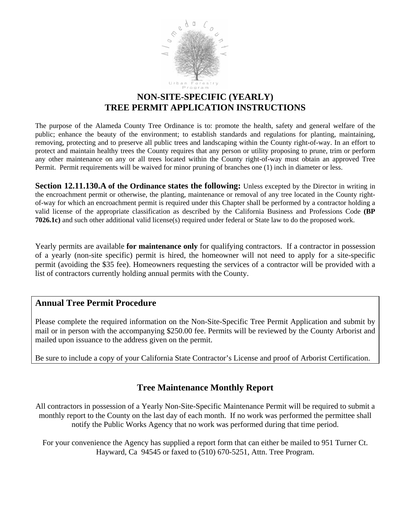

### **NON-SITE-SPECIFIC (YEARLY) TREE PERMIT APPLICATION INSTRUCTIONS**

The purpose of the Alameda County Tree Ordinance is to: promote the health, safety and general welfare of the public; enhance the beauty of the environment; to establish standards and regulations for planting, maintaining, removing, protecting and to preserve all public trees and landscaping within the County right-of-way. In an effort to protect and maintain healthy trees the County requires that any person or utility proposing to prune, trim or perform any other maintenance on any or all trees located within the County right-of-way must obtain an approved Tree Permit. Permit requirements will be waived for minor pruning of branches one (1) inch in diameter or less.

**Section 12.11.130.A** of the Ordinance states the following: Unless excepted by the Director in writing in the encroachment permit or otherwise, the planting, maintenance or removal of any tree located in the County rightof-way for which an encroachment permit is required under this Chapter shall be performed by a contractor holding a valid license of the appropriate classification as described by the California Business and Professions Code **(BP 7026.1c)** and such other additional valid license(s) required under federal or State law to do the proposed work.

Yearly permits are available **for maintenance only** for qualifying contractors. If a contractor in possession of a yearly (non-site specific) permit is hired, the homeowner will not need to apply for a site-specific permit (avoiding the \$35 fee). Homeowners requesting the services of a contractor will be provided with a list of contractors currently holding annual permits with the County.

#### **Annual Tree Permit Procedure**

Please complete the required information on the Non-Site-Specific Tree Permit Application and submit by mail or in person with the accompanying \$250.00 fee. Permits will be reviewed by the County Arborist and mailed upon issuance to the address given on the permit.

Be sure to include a copy of your California State Contractor's License and proof of Arborist Certification.

#### **Tree Maintenance Monthly Report**

All contractors in possession of a Yearly Non-Site-Specific Maintenance Permit will be required to submit a monthly report to the County on the last day of each month. If no work was performed the permittee shall notify the Public Works Agency that no work was performed during that time period.

For your convenience the Agency has supplied a report form that can either be mailed to 951 Turner Ct. Hayward, Ca 94545 or faxed to (510) 670-5251, Attn. Tree Program.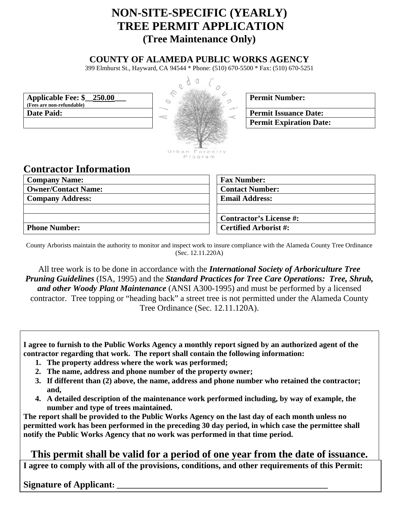# **NON-SITE-SPECIFIC (YEARLY) TREE PERMIT APPLICATION (Tree Maintenance Only)**

#### **COUNTY OF ALAMEDA PUBLIC WORKS AGENCY**

399 Elmhurst St., Hayward, CA 94544 \* Phone: (510) 670-5500 \* Fax: (510) 670-5251



|  | <b>Permit Number:</b> |
|--|-----------------------|
|--|-----------------------|

**Permit Expiration Date:** 

**Applicable Fee: \$\_\_250.00\_\_\_ (Fees are non-refundable) Date Paid:** Permit Issuance Date:

## **Contractor Information**

| <b>Company Name:</b>       | <b>Fax Number:</b>           |  |
|----------------------------|------------------------------|--|
| <b>Owner/Contact Name:</b> | <b>Contact Number:</b>       |  |
| <b>Company Address:</b>    | <b>Email Address:</b>        |  |
|                            |                              |  |
|                            | Contractor's License #:      |  |
| <b>Phone Number:</b>       | <b>Certified Arborist #:</b> |  |

County Arborists maintain the authority to monitor and inspect work to insure compliance with the Alameda County Tree Ordinance (Sec. 12.11.220A)

All tree work is to be done in accordance with the *International Society of Arboriculture Tree Pruning Guidelines* (ISA, 1995) and the *Standard Practices for Tree Care Operations: Tree, Shrub, and other Woody Plant Maintenance* (ANSI A300-1995) and must be performed by a licensed contractor. Tree topping or "heading back" a street tree is not permitted under the Alameda County Tree Ordinance (Sec. 12.11.120A).

**I agree to furnish to the Public Works Agency a monthly report signed by an authorized agent of the contractor regarding that work. The report shall contain the following information:** 

- **1. The property address where the work was performed;**
- **2. The name, address and phone number of the property owner;**
- **3. If different than (2) above, the name, address and phone number who retained the contractor; and,**
- **4. A detailed description of the maintenance work performed including, by way of example, the number and type of trees maintained.**

**The report shall be provided to the Public Works Agency on the last day of each month unless no permitted work has been performed in the preceding 30 day period, in which case the permittee shall notify the Public Works Agency that no work was performed in that time period.** 

**This permit shall be valid for a period of one year from the date of issuance.** 

**I agree to comply with all of the provisions, conditions, and other requirements of this Permit:** 

**Signature of Applicant:**